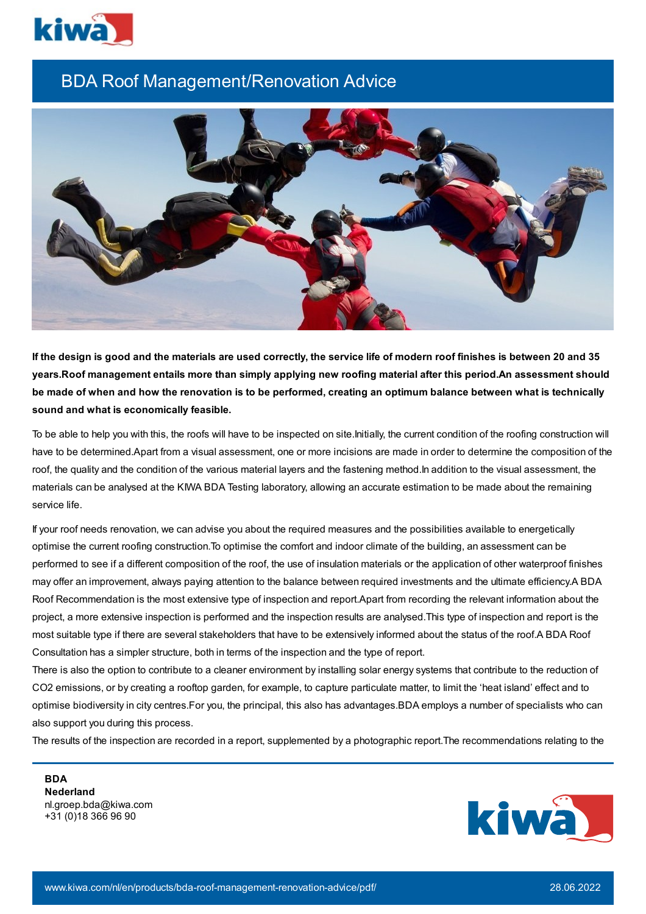

## BDA Roof Management/Renovation Advice



If the design is good and the materials are used correctly, the service life of modern roof finishes is between 20 and 35 **years.Roof management entails more than simply applying new roofing material after this period.An assessment should** be made of when and how the renovation is to be performed, creating an optimum balance between what is technically **sound and what is economically feasible.**

To be able to help you with this, the roofs will have to be inspected on site.Initially, the current condition of the roofing construction will have to be determined.Apart from a visual assessment, one or more incisions are made in order to determine the composition of the roof, the quality and the condition of the various material layers and the fastening method.In addition to the visual assessment, the materials can be analysed at the KIWA BDA Testing laboratory, allowing an accurate estimation to be made about the remaining service life.

If your roof needs renovation, we can advise you about the required measures and the possibilities available to energetically optimise the current roofing construction.To optimise the comfort and indoor climate of the building, an assessment can be performed to see if a different composition of the roof, the use of insulation materials or the application of other waterproof finishes may offer an improvement, always paying attention to the balance between required investments and the ultimate efficiency.A BDA Roof Recommendation is the most extensive type of inspection and report.Apart from recording the relevant information about the project, a more extensive inspection is performed and the inspection results are analysed.This type of inspection and report is the most suitable type if there are several stakeholders that have to be extensively informed about the status of the roof.A BDA Roof Consultation has a simpler structure, both in terms of the inspection and the type of report.

There is also the option to contribute to a cleaner environment by installing solar energy systems that contribute to the reduction of CO2 emissions, or by creating a rooftop garden, for example, to capture particulate matter, to limit the 'heat island' effect and to optimise biodiversity in city centres.For you, the principal, this also has advantages.BDA employs a number of specialists who can also support you during this process.

The results of the inspection are recorded in a report, supplemented by a photographic report.The recommendations relating to the

**BDA Nederland** nl.groep.bda@kiwa.com +31 (0)18 366 96 90